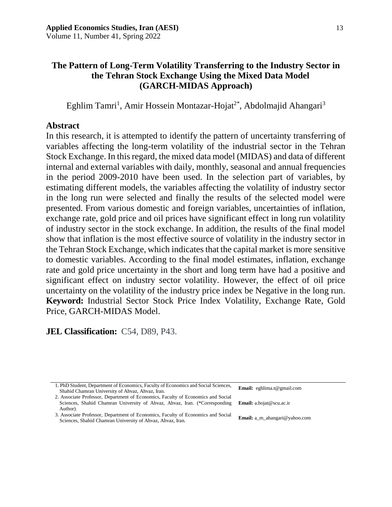# **The Pattern of Long-Term Volatility Transferring to the Industry Sector in the Tehran Stock Exchange Using the Mixed Data Model (GARCH-MIDAS Approach)**

Eghlim Tamri<sup>1</sup>, Amir Hossein Montazar-Hojat<sup>2\*</sup>, Abdolmajid Ahangari<sup>3</sup>

### **Abstract**

In this research, it is attempted to identify the pattern of uncertainty transferring of variables affecting the long-term volatility of the industrial sector in the Tehran Stock Exchange. In this regard, the mixed data model (MIDAS) and data of different internal and external variables with daily, monthly, seasonal and annual frequencies in the period 2009-2010 have been used. In the selection part of variables, by estimating different models, the variables affecting the volatility of industry sector in the long run were selected and finally the results of the selected model were presented. From various domestic and foreign variables, uncertainties of inflation, exchange rate, gold price and oil prices have significant effect in long run volatility of industry sector in the stock exchange. In addition, the results of the final model show that inflation is the most effective source of volatility in the industry sector in the Tehran Stock Exchange, which indicates that the capital market is more sensitive to domestic variables. According to the final model estimates, inflation, exchange rate and gold price uncertainty in the short and long term have had a positive and significant effect on industry sector volatility. However, the effect of oil price uncertainty on the volatility of the industry price index be Negative in the long run. **Keyword:** Industrial Sector Stock Price Index Volatility, Exchange Rate, Gold Price, GARCH-MIDAS Model.

**JEL Classification:** C54, D89, P43.

| 1. PhD Student, Department of Economics, Faculty of Economics and Social Sciences,<br>Shahid Chamran University of Ahvaz, Ahvaz, Iran.                                                              | <b>Email:</b> eghlima.t@gmail.com    |
|-----------------------------------------------------------------------------------------------------------------------------------------------------------------------------------------------------|--------------------------------------|
| 2. Associate Professor, Department of Economics, Faculty of Economics and Social<br>Sciences, Shahid Chamran University of Ahvaz, Ahvaz, Iran. (*Corresponding Email: a.hojat@scu.ac.ir<br>Author). |                                      |
| 3. Associate Professor, Department of Economics, Faculty of Economics and Social<br>Sciences, Shahid Chamran University of Ahvaz, Ahvaz, Iran.                                                      | <b>Email:</b> a m ahangari@yahoo.com |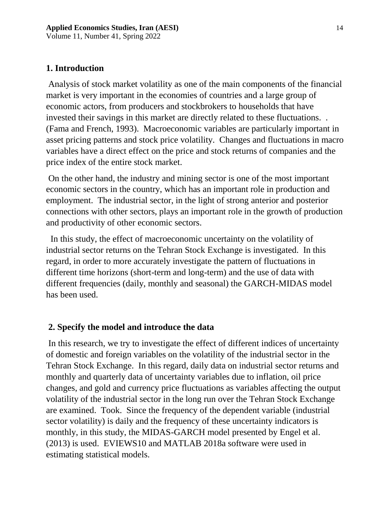Volume 11, Number 41, Spring 2022

# **1. Introduction**

Analysis of stock market volatility as one of the main components of the financial market is very important in the economies of countries and a large group of economic actors, from producers and stockbrokers to households that have invested their savings in this market are directly related to these fluctuations. . (Fama and French, 1993). Macroeconomic variables are particularly important in asset pricing patterns and stock price volatility. Changes and fluctuations in macro variables have a direct effect on the price and stock returns of companies and the price index of the entire stock market.

On the other hand, the industry and mining sector is one of the most important economic sectors in the country, which has an important role in production and employment. The industrial sector, in the light of strong anterior and posterior connections with other sectors, plays an important role in the growth of production and productivity of other economic sectors.

 In this study, the effect of macroeconomic uncertainty on the volatility of industrial sector returns on the Tehran Stock Exchange is investigated. In this regard, in order to more accurately investigate the pattern of fluctuations in different time horizons (short-term and long-term) and the use of data with different frequencies (daily, monthly and seasonal) the GARCH-MIDAS model has been used.

# **2. Specify the model and introduce the data**

In this research, we try to investigate the effect of different indices of uncertainty of domestic and foreign variables on the volatility of the industrial sector in the Tehran Stock Exchange. In this regard, daily data on industrial sector returns and monthly and quarterly data of uncertainty variables due to inflation, oil price changes, and gold and currency price fluctuations as variables affecting the output volatility of the industrial sector in the long run over the Tehran Stock Exchange are examined. Took. Since the frequency of the dependent variable (industrial sector volatility) is daily and the frequency of these uncertainty indicators is monthly, in this study, the MIDAS-GARCH model presented by Engel et al. (2013) is used. EVIEWS10 and MATLAB 2018a software were used in estimating statistical models.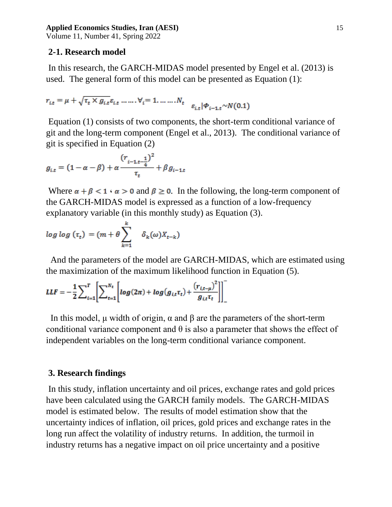Volume 11, Number 41, Spring 2022

### **2-1. Research model**

In this research, the GARCH-MIDAS model presented by Engel et al. (2013) is used. The general form of this model can be presented as Equation (1):

$$
r_{i,t} = \mu + \sqrt{\tau_t \times g_{i,t}} \varepsilon_{i,t} \dots \dots \cdot \forall_i = 1, \dots \dots \dots N_t \quad \varepsilon_{i,t} |\phi_{i-1,t} \sim N(0.1)
$$

Equation (1) consists of two components, the short-term conditional variance of git and the long-term component (Engel et al., 2013). The conditional variance of git is specified in Equation (2)

$$
g_{i,t} = (1 - \alpha - \beta) + \alpha \frac{(r_{i-1,t-\frac{1}{4}})^2}{\tau_t} + \beta g_{i-1,t}
$$

Where  $\alpha + \beta < 1$   $\alpha > 0$  and  $\beta \ge 0$ . In the following, the long-term component of the GARCH-MIDAS model is expressed as a function of a low-frequency explanatory variable (in this monthly study) as Equation (3).

$$
\log \log \left( \tau_t \right) = \left( m + \theta \sum_{k=1}^{k} \delta_k(\omega) X_{t-k} \right)
$$

 And the parameters of the model are GARCH-MIDAS, which are estimated using the maximization of the maximum likelihood function in Equation (5).

$$
LLF = -\frac{1}{2} \sum_{i=1}^{T} \left[ \sum_{t=1}^{N_t} \left[ log(2\pi) + log(g_{i,t} \tau_t) + \frac{(r_{i,t-\mu})^2}{g_{i,t} \tau_t} \right] \right]^{-1}
$$

In this model,  $\mu$  width of origin,  $\alpha$  and  $\beta$  are the parameters of the short-term conditional variance component and  $\theta$  is also a parameter that shows the effect of independent variables on the long-term conditional variance component.

### **3. Research findings**

In this study, inflation uncertainty and oil prices, exchange rates and gold prices have been calculated using the GARCH family models. The GARCH-MIDAS model is estimated below. The results of model estimation show that the uncertainty indices of inflation, oil prices, gold prices and exchange rates in the long run affect the volatility of industry returns. In addition, the turmoil in industry returns has a negative impact on oil price uncertainty and a positive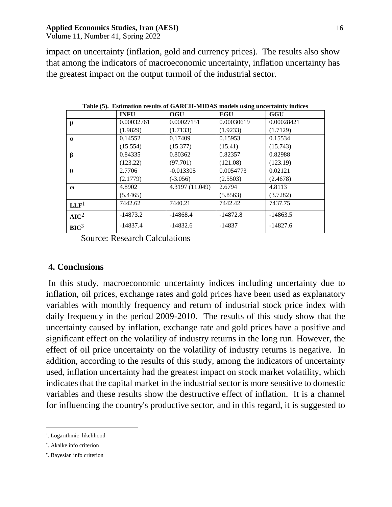Volume 11, Number 41, Spring 2022

impact on uncertainty (inflation, gold and currency prices). The results also show that among the indicators of macroeconomic uncertainty, inflation uncertainty has the greatest impact on the output turmoil of the industrial sector.

|                  | <b>INFU</b> | <b>OGU</b>      | <b>EGU</b> | GGU        |
|------------------|-------------|-----------------|------------|------------|
| $\mu$            | 0.00032761  | 0.00027151      | 0.00030619 | 0.00028421 |
|                  | (1.9829)    | (1.7133)        | (1.9233)   | (1.7129)   |
| $\alpha$         | 0.14552     | 0.17409         | 0.15953    | 0.15534    |
|                  | (15.554)    | (15.377)        | (15.41)    | (15.743)   |
| $\beta$          | 0.84335     | 0.80362         | 0.82357    | 0.82988    |
|                  | (123.22)    | (97.701)        | (121.08)   | (123.19)   |
| $\theta$         | 2.7706      | $-0.013305$     | 0.0054773  | 0.02121    |
|                  | (2.1779)    | $(-3.056)$      | (2.5503)   | (2.4678)   |
| $\omega$         | 4.8902      | 4.3197 (11.049) | 2.6794     | 4.8113     |
|                  | (5.4465)    |                 | (5.8563)   | (3.7282)   |
| LLF <sup>1</sup> | 7442.62     | 7440.21         | 7442.42    | 7437.75    |
| AIC <sup>2</sup> | $-14873.2$  | $-14868.4$      | $-14872.8$ | $-14863.5$ |
| BIC <sup>3</sup> | $-14837.4$  | $-14832.6$      | $-14837$   | $-14827.6$ |

**Table (5). Estimation results of GARCH-MIDAS models using uncertainty indices**

Source: Research Calculations

## **4. Conclusions**

In this study, macroeconomic uncertainty indices including uncertainty due to inflation, oil prices, exchange rates and gold prices have been used as explanatory variables with monthly frequency and return of industrial stock price index with daily frequency in the period 2009-2010. The results of this study show that the uncertainty caused by inflation, exchange rate and gold prices have a positive and significant effect on the volatility of industry returns in the long run. However, the effect of oil price uncertainty on the volatility of industry returns is negative. In addition, according to the results of this study, among the indicators of uncertainty used, inflation uncertainty had the greatest impact on stock market volatility, which indicates that the capital market in the industrial sector is more sensitive to domestic variables and these results show the destructive effect of inflation. It is a channel for influencing the country's productive sector, and in this regard, it is suggested to

 $\overline{a}$ 

<sup>&#</sup>x27;. Logarithmic likelihood

<sup>&#</sup>x27;. Akaike info criterion

<sup>3</sup> . Bayesian info criterion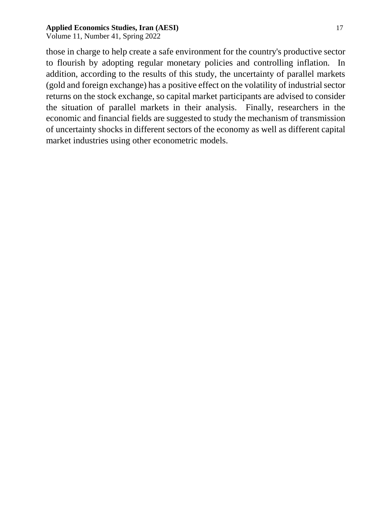Volume 11, Number 41, Spring 2022

those in charge to help create a safe environment for the country's productive sector to flourish by adopting regular monetary policies and controlling inflation. In addition, according to the results of this study, the uncertainty of parallel markets (gold and foreign exchange) has a positive effect on the volatility of industrial sector returns on the stock exchange, so capital market participants are advised to consider the situation of parallel markets in their analysis. Finally, researchers in the economic and financial fields are suggested to study the mechanism of transmission of uncertainty shocks in different sectors of the economy as well as different capital market industries using other econometric models.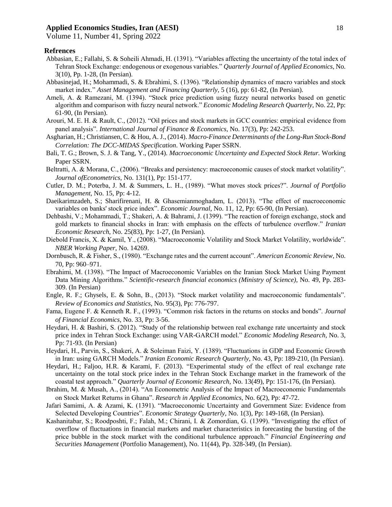Volume 11, Number 41, Spring 2022

#### **Refrences**

- Abbasian, E.; Fallahi, S. & Soheili Ahmadi, H. (1391). "Variables affecting the uncertainty of the total index of Tehran Stock Exchange: endogenous or exogenous variables." *Quarterly Journal of Applied Economics*, No. 3(10), Pp. 1-28, (In Persian).
- Abbasinejad, H.; Mohammadi, S. & Ebrahimi, S. (1396). "Relationship dynamics of macro variables and stock market index." *Asset Management and Financing Quarterly*, 5 (16), pp: 61-82, (In Persian).
- Ameli, A. & Ramezani, M. (1394). "Stock price prediction using fuzzy neural networks based on genetic algorithm and comparison with fuzzy neural network." *Economic Modeling Research Quarterly*, No. 22, Pp: 61-90, (In Persian).
- Arouri, M. E. H. & Rault, C., (2012). "Oil prices and stock markets in GCC countries: empirical evidence from panel analysis". *International Journal of Finance & Economics,* No. 17(3), Pp: 242-253.
- Asgharian, H.; Christiansen, C. & Hou, A. J., (2014). *Macro-Finance Determinants of the Long-Run Stock-Bond Correlation: The DCC-MIDAS Specification*. Working Paper SSRN.
- Bali, T. G.; Brown, S. J. & Tang, Y., (2014). *Macroeconomic Uncertainty and Expected Stock Retur.* Working Paper SSRN.
- Beltratti, A. & Morana, C., (2006). "Breaks and persistency: macroeconomic causes of stock market volatility". *Journal ofEconometrics,* No. 131(1), Pp: 151-177.
- Cutler, D. M.; Poterba, J. M. & Summers, L. H., (1989). "What moves stock prices?". *Journal of Portfolio Management,* No. 15, Pp: 4-12.
- Daeikarimzadeh, S.; Sharifirenani, H. & Ghasemianmoghadam, L. (2013). "The effect of macroeconomic variables on banks' stock price index". *Economic Journal*, No. 11, 12, Pp: 65-90, (In Persian).
- Dehbashi, V.; Mohammadi, T.; Shakeri, A. & Bahrami, J. (1399). "The reaction of foreign exchange, stock and gold markets to financial shocks in Iran: with emphasis on the effects of turbulence overflow." *Iranian Economic Research*, No. 25(83), Pp: 1-27, (In Persian).
- Diebold Francis, X. & Kamil, Y., (2008). "Macroeconomic Volatility and Stock Market Volatility, worldwide". *NBER Working Paper*, No. 14269.
- Dornbusch, R. & Fisher, S., (1980). "Exchange rates and the current account". *American Economic Review*, No. 70, Pp: 960–971.
- Ebrahimi, M. (1398). "The Impact of Macroeconomic Variables on the Iranian Stock Market Using Payment Data Mining Algorithms." *Scientific-research financial economics (Ministry of Science)*, No. 49, Pp. 283- 309. (In Persian)
- Engle, R. F.; Ghysels, E. & Sohn, B., (2013). "Stock market volatility and macroeconomic fundamentals". *Review of Economics and Statistics*, No. 95(3), Pp: 776-797.
- Fama, Eugene F. & Kenneth R. F., (1993). "Common risk factors in the returns on stocks and bonds". *Journal of Financial Economics,* No. 33, Pp: 3-56.
- Heydari, H. & Bashiri, S. (2012). "Study of the relationship between real exchange rate uncertainty and stock price index in Tehran Stock Exchange: using VAR-GARCH model." *Economic Modeling Research*, No. 3, Pp: 71-93. (In Persian)
- Heydari, H., Parvin, S., Shakeri, A. & Soleiman Faizi, Y. (1389). "Fluctuations in GDP and Economic Growth in Iran: using GARCH Models." *Iranian Economic Research Quarterly*, No. 43, Pp: 189-210, (In Persian).
- Heydari, H.; Faljoo, H.R. & Karami, F. (2013). "Experimental study of the effect of real exchange rate uncertainty on the total stock price index in the Tehran Stock Exchange market in the framework of the coastal test approach." *Quarterly Journal of Economic Research*, No. 13(49), Pp: 151-176, (In Persian).
- Ibrahim, M. & Musah, A., (2014). "An Econometric Analysis of the Impact of Macroeconomic Fundamentals on Stock Market Returns in Ghana". *Research in Applied Economics*, No. 6(2), Pp: 47-72.
- Jafari Samimi, A. & Azami, K. (1391). "Macroeconomic Uncertainty and Government Size: Evidence from Selected Developing Countries". *Economic Strategy Quarterly*, No. 1(3), Pp: 149-168, (In Persian).
- Kashanitabar, S.; Roodposhti, F.; Falah, M.; Chirani, I. & Zomordian, G. (1399). "Investigating the effect of overflow of fluctuations in financial markets and market characteristics in forecasting the bursting of the price bubble in the stock market with the conditional turbulence approach." *Financial Engineering and Securities Management* (Portfolio Management), No. 11(44), Pp. 328-349, (In Persian).